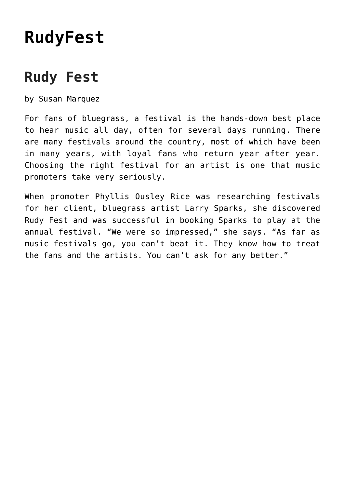## **[RudyFest](https://thebluegrassstandard.com/rudy-fest/)**

## **Rudy Fest**

by Susan Marquez

For fans of bluegrass, a festival is the hands-down best place to hear music all day, often for several days running. There are many festivals around the country, most of which have been in many years, with loyal fans who return year after year. Choosing the right festival for an artist is one that music promoters take very seriously.

When promoter Phyllis Ousley Rice was researching festivals for her client, bluegrass artist Larry Sparks, she discovered Rudy Fest and was successful in booking Sparks to play at the annual festival. "We were so impressed," she says. "As far as music festivals go, you can't beat it. They know how to treat the fans and the artists. You can't ask for any better."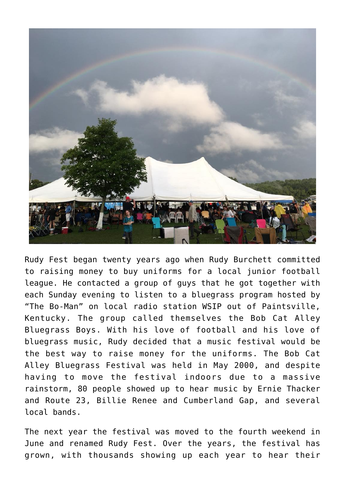

Rudy Fest began twenty years ago when Rudy Burchett committed to raising money to buy uniforms for a local junior football league. He contacted a group of guys that he got together with each Sunday evening to listen to a bluegrass program hosted by "The Bo-Man" on local radio station WSIP out of Paintsville, Kentucky. The group called themselves the Bob Cat Alley Bluegrass Boys. With his love of football and his love of bluegrass music, Rudy decided that a music festival would be the best way to raise money for the uniforms. The Bob Cat Alley Bluegrass Festival was held in May 2000, and despite having to move the festival indoors due to a massive rainstorm, 80 people showed up to hear music by Ernie Thacker and Route 23, Billie Renee and Cumberland Gap, and several local bands.

The next year the festival was moved to the fourth weekend in June and renamed Rudy Fest. Over the years, the festival has grown, with thousands showing up each year to hear their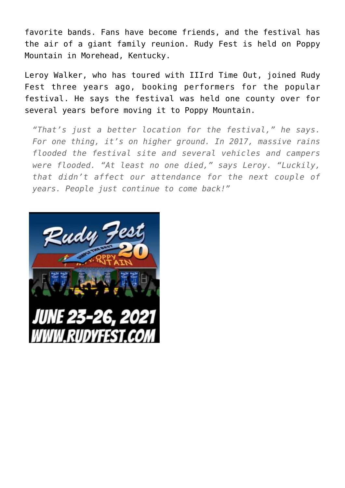favorite bands. Fans have become friends, and the festival has the air of a giant family reunion. Rudy Fest is held on Poppy Mountain in Morehead, Kentucky.

Leroy Walker, who has toured with IIIrd Time Out, joined Rudy Fest three years ago, booking performers for the popular festival. He says the festival was held one county over for several years before moving it to Poppy Mountain.

*"That's just a better location for the festival," he says. For one thing, it's on higher ground. In 2017, massive rains flooded the festival site and several vehicles and campers were flooded. "At least no one died," says Leroy. "Luckily, that didn't affect our attendance for the next couple of years. People just continue to come back!"*

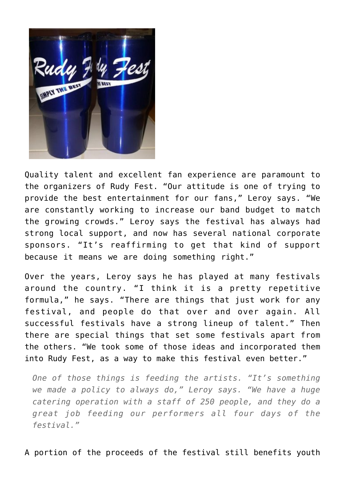**UNPLY THE E** 

Quality talent and excellent fan experience are paramount to the organizers of Rudy Fest. "Our attitude is one of trying to provide the best entertainment for our fans," Leroy says. "We are constantly working to increase our band budget to match the growing crowds." Leroy says the festival has always had strong local support, and now has several national corporate sponsors. "It's reaffirming to get that kind of support because it means we are doing something right."

Over the years, Leroy says he has played at many festivals around the country. "I think it is a pretty repetitive formula," he says. "There are things that just work for any festival, and people do that over and over again. All successful festivals have a strong lineup of talent." Then there are special things that set some festivals apart from the others. "We took some of those ideas and incorporated them into Rudy Fest, as a way to make this festival even better."

*One of those things is feeding the artists. "It's something we made a policy to always do," Leroy says. "We have a huge catering operation with a staff of 250 people, and they do a great job feeding our performers all four days of the festival."*

A portion of the proceeds of the festival still benefits youth